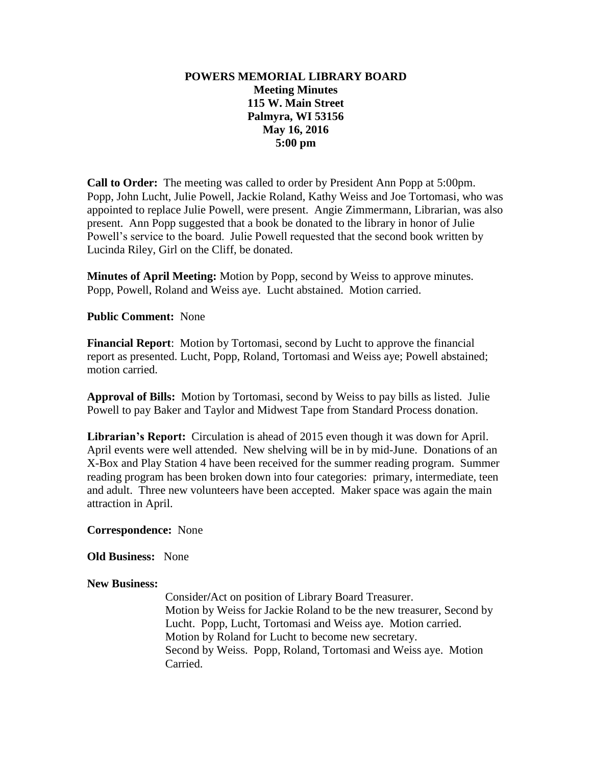## **POWERS MEMORIAL LIBRARY BOARD Meeting Minutes 115 W. Main Street Palmyra, WI 53156 May 16, 2016 5:00 pm**

**Call to Order:** The meeting was called to order by President Ann Popp at 5:00pm. Popp, John Lucht, Julie Powell, Jackie Roland, Kathy Weiss and Joe Tortomasi, who was appointed to replace Julie Powell, were present. Angie Zimmermann, Librarian, was also present. Ann Popp suggested that a book be donated to the library in honor of Julie Powell's service to the board. Julie Powell requested that the second book written by Lucinda Riley, Girl on the Cliff, be donated.

**Minutes of April Meeting:** Motion by Popp, second by Weiss to approve minutes. Popp, Powell, Roland and Weiss aye. Lucht abstained. Motion carried.

**Public Comment:** None

**Financial Report**: Motion by Tortomasi, second by Lucht to approve the financial report as presented. Lucht, Popp, Roland, Tortomasi and Weiss aye; Powell abstained; motion carried.

**Approval of Bills:** Motion by Tortomasi, second by Weiss to pay bills as listed. Julie Powell to pay Baker and Taylor and Midwest Tape from Standard Process donation.

**Librarian's Report:** Circulation is ahead of 2015 even though it was down for April. April events were well attended. New shelving will be in by mid-June. Donations of an X-Box and Play Station 4 have been received for the summer reading program. Summer reading program has been broken down into four categories: primary, intermediate, teen and adult. Three new volunteers have been accepted. Maker space was again the main attraction in April.

**Correspondence:** None

**Old Business:** None

## **New Business:**

 Consider**/**Act on position of Library Board Treasurer. Motion by Weiss for Jackie Roland to be the new treasurer, Second by Lucht. Popp, Lucht, Tortomasi and Weiss aye. Motion carried. Motion by Roland for Lucht to become new secretary. Second by Weiss. Popp, Roland, Tortomasi and Weiss aye. Motion Carried.